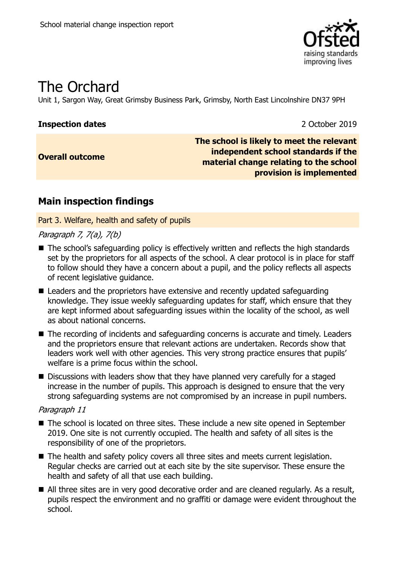

# The Orchard

Unit 1, Sargon Way, Great Grimsby Business Park, Grimsby, North East Lincolnshire DN37 9PH

#### **Inspection dates** 2 October 2019

**Overall outcome**

**The school is likely to meet the relevant independent school standards if the material change relating to the school provision is implemented**

## **Main inspection findings**

Part 3. Welfare, health and safety of pupils

#### Paragraph 7, 7(a), 7(b)

- The school's safeguarding policy is effectively written and reflects the high standards set by the proprietors for all aspects of the school. A clear protocol is in place for staff to follow should they have a concern about a pupil, and the policy reflects all aspects of recent legislative guidance.
- Leaders and the proprietors have extensive and recently updated safeguarding knowledge. They issue weekly safeguarding updates for staff, which ensure that they are kept informed about safeguarding issues within the locality of the school, as well as about national concerns.
- The recording of incidents and safeguarding concerns is accurate and timely. Leaders and the proprietors ensure that relevant actions are undertaken. Records show that leaders work well with other agencies. This very strong practice ensures that pupils' welfare is a prime focus within the school.
- Discussions with leaders show that they have planned very carefully for a staged increase in the number of pupils. This approach is designed to ensure that the very strong safeguarding systems are not compromised by an increase in pupil numbers.

#### Paragraph 11

- The school is located on three sites. These include a new site opened in September 2019. One site is not currently occupied. The health and safety of all sites is the responsibility of one of the proprietors.
- The health and safety policy covers all three sites and meets current legislation. Regular checks are carried out at each site by the site supervisor. These ensure the health and safety of all that use each building.
- All three sites are in very good decorative order and are cleaned regularly. As a result, pupils respect the environment and no graffiti or damage were evident throughout the school.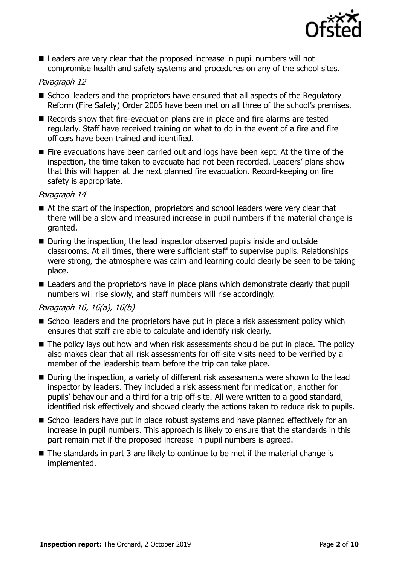

■ Leaders are very clear that the proposed increase in pupil numbers will not compromise health and safety systems and procedures on any of the school sites.

#### Paragraph 12

- School leaders and the proprietors have ensured that all aspects of the Regulatory Reform (Fire Safety) Order 2005 have been met on all three of the school's premises.
- Records show that fire-evacuation plans are in place and fire alarms are tested regularly. Staff have received training on what to do in the event of a fire and fire officers have been trained and identified.
- Fire evacuations have been carried out and logs have been kept. At the time of the inspection, the time taken to evacuate had not been recorded. Leaders' plans show that this will happen at the next planned fire evacuation. Record-keeping on fire safety is appropriate.

#### Paragraph 14

- At the start of the inspection, proprietors and school leaders were very clear that there will be a slow and measured increase in pupil numbers if the material change is granted.
- During the inspection, the lead inspector observed pupils inside and outside classrooms. At all times, there were sufficient staff to supervise pupils. Relationships were strong, the atmosphere was calm and learning could clearly be seen to be taking place.
- Leaders and the proprietors have in place plans which demonstrate clearly that pupil numbers will rise slowly, and staff numbers will rise accordingly.

#### Paragraph 16, 16(a), 16(b)

- School leaders and the proprietors have put in place a risk assessment policy which ensures that staff are able to calculate and identify risk clearly.
- The policy lays out how and when risk assessments should be put in place. The policy also makes clear that all risk assessments for off-site visits need to be verified by a member of the leadership team before the trip can take place.
- During the inspection, a variety of different risk assessments were shown to the lead inspector by leaders. They included a risk assessment for medication, another for pupils' behaviour and a third for a trip off-site. All were written to a good standard, identified risk effectively and showed clearly the actions taken to reduce risk to pupils.
- School leaders have put in place robust systems and have planned effectively for an increase in pupil numbers. This approach is likely to ensure that the standards in this part remain met if the proposed increase in pupil numbers is agreed.
- The standards in part 3 are likely to continue to be met if the material change is implemented.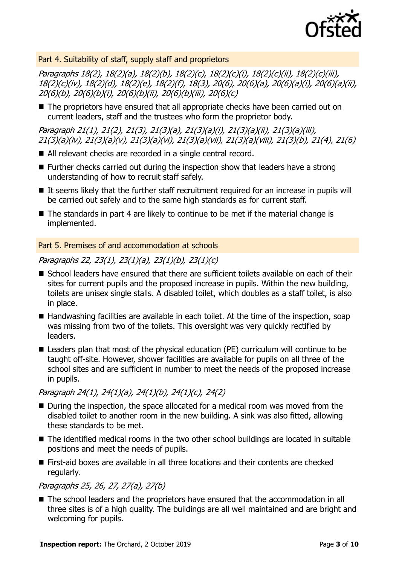

#### Part 4. Suitability of staff, supply staff and proprietors

Paragraphs 18(2), 18(2)(a), 18(2)(b), 18(2)(c), 18(2)(c)(i), 18(2)(c)(ii), 18(2)(c)(iii), 18(2)(c)(iv), 18(2)(d), 18(2)(e), 18(2)(f), 18(3), 20(6), 20(6)(a), 20(6)(a)(i), 20(6)(a)(ii), 20(6)(b), 20(6)(b)(i), 20(6)(b)(ii), 20(6)(b)(iii), 20(6)(c)

■ The proprietors have ensured that all appropriate checks have been carried out on current leaders, staff and the trustees who form the proprietor body.

Paragraph 21(1), 21(2), 21(3), 21(3)(a), 21(3)(a)(i), 21(3)(a)(ii), 21(3)(a)(iii), 21(3)(a)(iv), 21(3)(a)(v), 21(3)(a)(vi), 21(3)(a)(vii), 21(3)(a)(viii), 21(3)(b), 21(4), 21(6)

- All relevant checks are recorded in a single central record.
- Further checks carried out during the inspection show that leaders have a strong understanding of how to recruit staff safely.
- It seems likely that the further staff recruitment required for an increase in pupils will be carried out safely and to the same high standards as for current staff.
- The standards in part 4 are likely to continue to be met if the material change is implemented.

#### Part 5. Premises of and accommodation at schools

#### Paragraphs 22, 23(1), 23(1)(a), 23(1)(b), 23(1)(c)

- School leaders have ensured that there are sufficient toilets available on each of their sites for current pupils and the proposed increase in pupils. Within the new building, toilets are unisex single stalls. A disabled toilet, which doubles as a staff toilet, is also in place.
- Handwashing facilities are available in each toilet. At the time of the inspection, soap was missing from two of the toilets. This oversight was very quickly rectified by leaders.
- Leaders plan that most of the physical education (PE) curriculum will continue to be taught off-site. However, shower facilities are available for pupils on all three of the school sites and are sufficient in number to meet the needs of the proposed increase in pupils.

#### Paragraph 24(1), 24(1)(a), 24(1)(b), 24(1)(c), 24(2)

- During the inspection, the space allocated for a medical room was moved from the disabled toilet to another room in the new building. A sink was also fitted, allowing these standards to be met.
- The identified medical rooms in the two other school buildings are located in suitable positions and meet the needs of pupils.
- First-aid boxes are available in all three locations and their contents are checked regularly.

#### Paragraphs 25, 26, 27, 27(a), 27(b)

■ The school leaders and the proprietors have ensured that the accommodation in all three sites is of a high quality. The buildings are all well maintained and are bright and welcoming for pupils.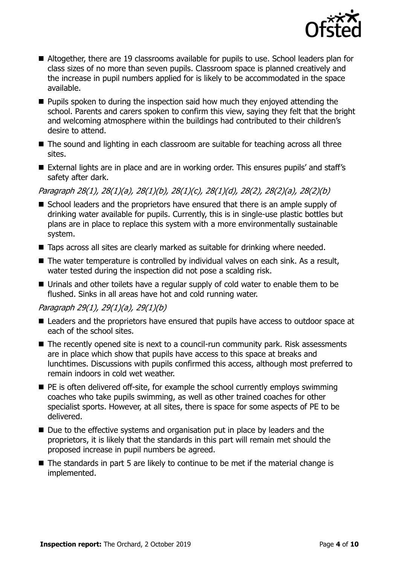

- Altogether, there are 19 classrooms available for pupils to use. School leaders plan for class sizes of no more than seven pupils. Classroom space is planned creatively and the increase in pupil numbers applied for is likely to be accommodated in the space available.
- **Pupils spoken to during the inspection said how much they enjoyed attending the** school. Parents and carers spoken to confirm this view, saying they felt that the bright and welcoming atmosphere within the buildings had contributed to their children's desire to attend.
- The sound and lighting in each classroom are suitable for teaching across all three sites.
- External lights are in place and are in working order. This ensures pupils' and staff's safety after dark.

Paragraph 28(1), 28(1)(a), 28(1)(b), 28(1)(c), 28(1)(d), 28(2), 28(2)(a), 28(2)(b)

- School leaders and the proprietors have ensured that there is an ample supply of drinking water available for pupils. Currently, this is in single-use plastic bottles but plans are in place to replace this system with a more environmentally sustainable system.
- Taps across all sites are clearly marked as suitable for drinking where needed.
- The water temperature is controlled by individual valves on each sink. As a result, water tested during the inspection did not pose a scalding risk.
- Urinals and other toilets have a regular supply of cold water to enable them to be flushed. Sinks in all areas have hot and cold running water.

#### Paragraph 29(1), 29(1)(a), 29(1)(b)

- Leaders and the proprietors have ensured that pupils have access to outdoor space at each of the school sites.
- The recently opened site is next to a council-run community park. Risk assessments are in place which show that pupils have access to this space at breaks and lunchtimes. Discussions with pupils confirmed this access, although most preferred to remain indoors in cold wet weather.
- $\blacksquare$  PE is often delivered off-site, for example the school currently employs swimming coaches who take pupils swimming, as well as other trained coaches for other specialist sports. However, at all sites, there is space for some aspects of PE to be delivered.
- Due to the effective systems and organisation put in place by leaders and the proprietors, it is likely that the standards in this part will remain met should the proposed increase in pupil numbers be agreed.
- The standards in part 5 are likely to continue to be met if the material change is implemented.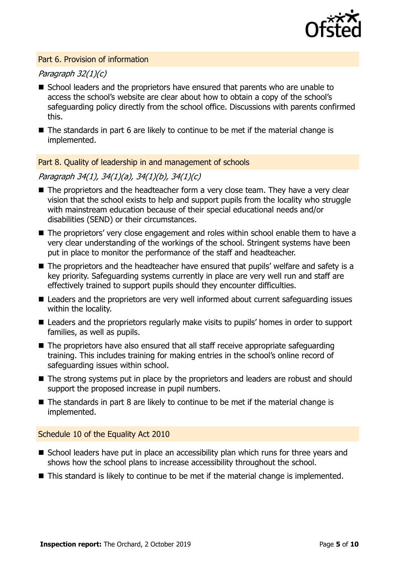

#### Part 6. Provision of information

#### Paragraph 32(1)(c)

- School leaders and the proprietors have ensured that parents who are unable to access the school's website are clear about how to obtain a copy of the school's safeguarding policy directly from the school office. Discussions with parents confirmed this.
- The standards in part 6 are likely to continue to be met if the material change is implemented.

#### Part 8. Quality of leadership in and management of schools

#### Paragraph 34(1), 34(1)(a), 34(1)(b), 34(1)(c)

- The proprietors and the headteacher form a very close team. They have a very clear vision that the school exists to help and support pupils from the locality who struggle with mainstream education because of their special educational needs and/or disabilities (SEND) or their circumstances.
- The proprietors' very close engagement and roles within school enable them to have a very clear understanding of the workings of the school. Stringent systems have been put in place to monitor the performance of the staff and headteacher.
- The proprietors and the headteacher have ensured that pupils' welfare and safety is a key priority. Safeguarding systems currently in place are very well run and staff are effectively trained to support pupils should they encounter difficulties.
- Leaders and the proprietors are very well informed about current safeguarding issues within the locality.
- Leaders and the proprietors regularly make visits to pupils' homes in order to support families, as well as pupils.
- The proprietors have also ensured that all staff receive appropriate safeguarding training. This includes training for making entries in the school's online record of safeguarding issues within school.
- The strong systems put in place by the proprietors and leaders are robust and should support the proposed increase in pupil numbers.
- The standards in part 8 are likely to continue to be met if the material change is implemented.

#### Schedule 10 of the Equality Act 2010

- School leaders have put in place an accessibility plan which runs for three years and shows how the school plans to increase accessibility throughout the school.
- This standard is likely to continue to be met if the material change is implemented.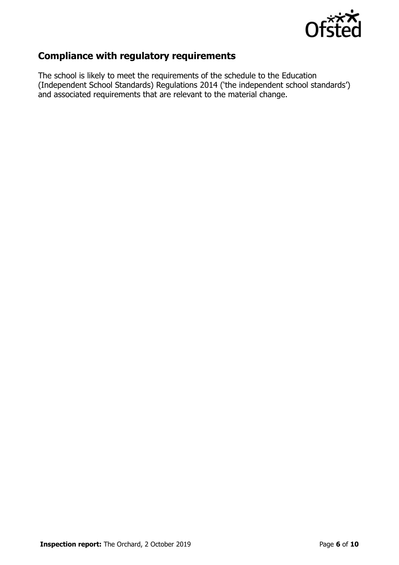

## **Compliance with regulatory requirements**

The school is likely to meet the requirements of the schedule to the Education (Independent School Standards) Regulations 2014 ('the independent school standards') and associated requirements that are relevant to the material change.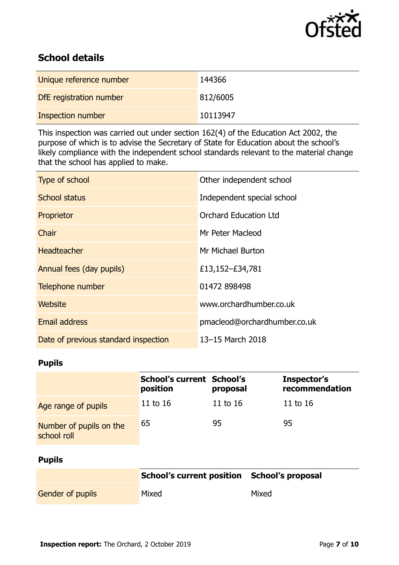

## **School details**

| Unique reference number | 144366   |
|-------------------------|----------|
| DfE registration number | 812/6005 |
| Inspection number       | 10113947 |

This inspection was carried out under section 162(4) of the Education Act 2002, the purpose of which is to advise the Secretary of State for Education about the school's likely compliance with the independent school standards relevant to the material change that the school has applied to make.

| Type of school                       | Other independent school     |
|--------------------------------------|------------------------------|
| <b>School status</b>                 | Independent special school   |
| Proprietor                           | <b>Orchard Education Ltd</b> |
| <b>Chair</b>                         | Mr Peter Macleod             |
| <b>Headteacher</b>                   | Mr Michael Burton            |
| Annual fees (day pupils)             | £13,152-£34,781              |
| Telephone number                     | 01472 898498                 |
| Website                              | www.orchardhumber.co.uk      |
| Email address                        | pmacleod@orchardhumber.co.uk |
| Date of previous standard inspection | 13-15 March 2018             |

### **Pupils**

|                                        | <b>School's current School's</b><br>position | proposal   | Inspector's<br>recommendation |
|----------------------------------------|----------------------------------------------|------------|-------------------------------|
| Age range of pupils                    | 11 to 16                                     | 11 to $16$ | 11 to 16                      |
| Number of pupils on the<br>school roll | 65                                           | 95         | 95                            |

#### **Pupils**

|                         | School's current position School's proposal |       |
|-------------------------|---------------------------------------------|-------|
| <b>Gender of pupils</b> | Mixed                                       | Mixed |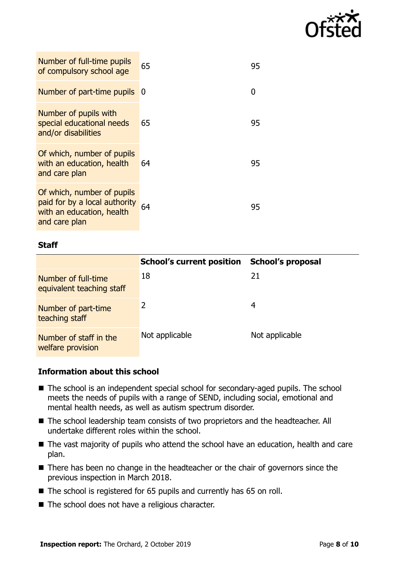

| Number of full-time pupils<br>of compulsory school age                                                    | 65 | 95 |
|-----------------------------------------------------------------------------------------------------------|----|----|
| Number of part-time pupils                                                                                | -0 | O  |
| Number of pupils with<br>special educational needs<br>and/or disabilities                                 | 65 | 95 |
| Of which, number of pupils<br>with an education, health<br>and care plan                                  | 64 | 95 |
| Of which, number of pupils<br>paid for by a local authority<br>with an education, health<br>and care plan | 64 | 95 |

#### **Staff**

|                                                  | <b>School's current position</b> | <b>School's proposal</b> |
|--------------------------------------------------|----------------------------------|--------------------------|
| Number of full-time<br>equivalent teaching staff | 18                               | 21                       |
| Number of part-time<br>teaching staff            | 2                                | 4                        |
| Number of staff in the<br>welfare provision      | Not applicable                   | Not applicable           |

#### **Information about this school**

- The school is an independent special school for secondary-aged pupils. The school meets the needs of pupils with a range of SEND, including social, emotional and mental health needs, as well as autism spectrum disorder.
- The school leadership team consists of two proprietors and the headteacher. All undertake different roles within the school.
- The vast majority of pupils who attend the school have an education, health and care plan.
- There has been no change in the headteacher or the chair of governors since the previous inspection in March 2018.
- The school is registered for 65 pupils and currently has 65 on roll.
- The school does not have a religious character.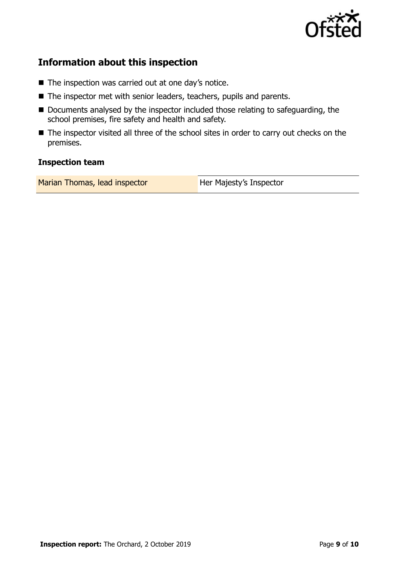

## **Information about this inspection**

- The inspection was carried out at one day's notice.
- The inspector met with senior leaders, teachers, pupils and parents.
- Documents analysed by the inspector included those relating to safeguarding, the school premises, fire safety and health and safety.
- The inspector visited all three of the school sites in order to carry out checks on the premises.

#### **Inspection team**

| Marian Thomas, lead inspector | Her Majesty's Inspector |
|-------------------------------|-------------------------|
|-------------------------------|-------------------------|